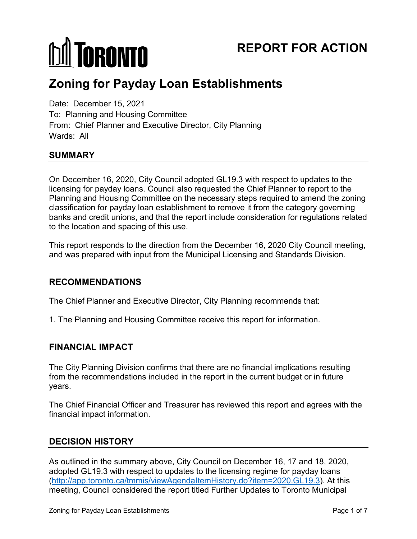# **MITORONTO**

# **REPORT FOR ACTION**

# **Zoning for Payday Loan Establishments**

Date: December 15, 2021 To: Planning and Housing Committee From: Chief Planner and Executive Director, City Planning Wards: All

# **SUMMARY**

On December 16, 2020, City Council adopted GL19.3 with respect to updates to the licensing for payday loans. Council also requested the Chief Planner to report to the Planning and Housing Committee on the necessary steps required to amend the zoning classification for payday loan establishment to remove it from the category governing banks and credit unions, and that the report include consideration for regulations related to the location and spacing of this use.

This report responds to the direction from the December 16, 2020 City Council meeting, and was prepared with input from the Municipal Licensing and Standards Division.

#### **RECOMMENDATIONS**

The Chief Planner and Executive Director, City Planning recommends that:

1. The Planning and Housing Committee receive this report for information.

# **FINANCIAL IMPACT**

The City Planning Division confirms that there are no financial implications resulting from the recommendations included in the report in the current budget or in future years.

The Chief Financial Officer and Treasurer has reviewed this report and agrees with the financial impact information.

# **DECISION HISTORY**

As outlined in the summary above, City Council on December 16, 17 and 18, 2020, adopted GL19.3 with respect to updates to the licensing regime for payday loans [\(http://app.toronto.ca/tmmis/viewAgendaItemHistory.do?item=2020.GL19.3\)](http://app.toronto.ca/tmmis/viewAgendaItemHistory.do?item=2020.GL19.3). At this meeting, Council considered the report titled Further Updates to Toronto Municipal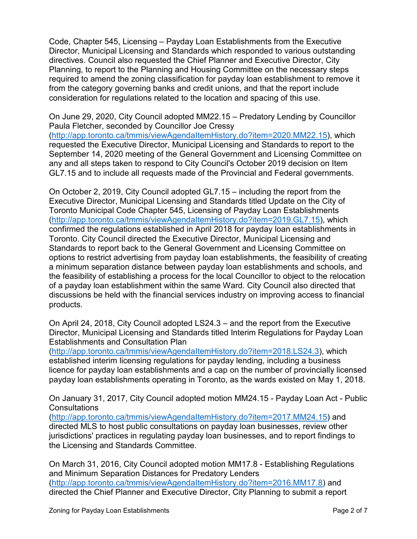Code, Chapter 545, Licensing – Payday Loan Establishments from the Executive Director, Municipal Licensing and Standards which responded to various outstanding directives. Council also requested the Chief Planner and Executive Director, City Planning, to report to the Planning and Housing Committee on the necessary steps required to amend the zoning classification for payday loan establishment to remove it from the category governing banks and credit unions, and that the report include consideration for regulations related to the location and spacing of this use.

On June 29, 2020, City Council adopted MM22.15 – Predatory Lending by Councillor Paula Fletcher, seconded by Councillor Joe Cressy [\(http://app.toronto.ca/tmmis/viewAgendaItemHistory.do?item=2020.MM22.15\)](http://app.toronto.ca/tmmis/viewAgendaItemHistory.do?item=2020.MM22.15), which requested the Executive Director, Municipal Licensing and Standards to report to the September 14, 2020 meeting of the General Government and Licensing Committee on any and all steps taken to respond to City Council's October 2019 decision on Item GL7.15 and to include all requests made of the Provincial and Federal governments.

On October 2, 2019, City Council adopted GL7.15 – including the report from the Executive Director, Municipal Licensing and Standards titled Update on the City of Toronto Municipal Code Chapter 545, Licensing of Payday Loan Establishments [\(http://app.toronto.ca/tmmis/viewAgendaItemHistory.do?item=2019.GL7.15\)](http://app.toronto.ca/tmmis/viewAgendaItemHistory.do?item=2019.GL7.15), which confirmed the regulations established in April 2018 for payday loan establishments in Toronto. City Council directed the Executive Director, Municipal Licensing and Standards to report back to the General Government and Licensing Committee on options to restrict advertising from payday loan establishments, the feasibility of creating a minimum separation distance between payday loan establishments and schools, and the feasibility of establishing a process for the local Councillor to object to the relocation of a payday loan establishment within the same Ward. City Council also directed that discussions be held with the financial services industry on improving access to financial products.

On April 24, 2018, City Council adopted LS24.3 – and the report from the Executive Director, Municipal Licensing and Standards titled Interim Regulations for Payday Loan Establishments and Consultation Plan

[\(http://app.toronto.ca/tmmis/viewAgendaItemHistory.do?item=2018.LS24.3\)](http://app.toronto.ca/tmmis/viewAgendaItemHistory.do?item=2018.LS24.3), which established interim licensing regulations for payday lending, including a business licence for payday loan establishments and a cap on the number of provincially licensed payday loan establishments operating in Toronto, as the wards existed on May 1, 2018.

On January 31, 2017, City Council adopted motion MM24.15 - Payday Loan Act - Public **Consultations** 

[\(http://app.toronto.ca/tmmis/viewAgendaItemHistory.do?item=2017.MM24.15\)](http://app.toronto.ca/tmmis/viewAgendaItemHistory.do?item=2017.MM24.15) and directed MLS to host public consultations on payday loan businesses, review other jurisdictions' practices in regulating payday loan businesses, and to report findings to the Licensing and Standards Committee.

On March 31, 2016, City Council adopted motion MM17.8 - Establishing Regulations and Minimum Separation Distances for Predatory Lenders [\(http://app.toronto.ca/tmmis/viewAgendaItemHistory.do?item=2016.MM17.8\)](http://app.toronto.ca/tmmis/viewAgendaItemHistory.do?item=2016.MM17.8) and directed the Chief Planner and Executive Director, City Planning to submit a report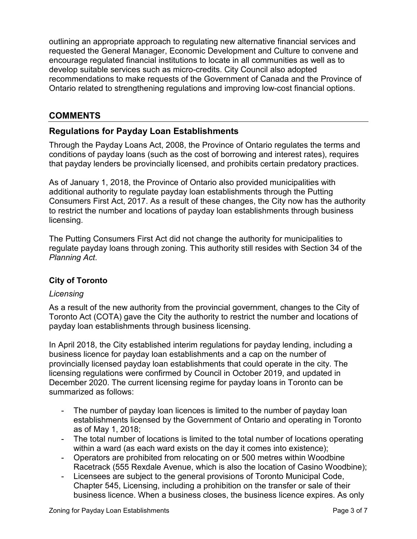outlining an appropriate approach to regulating new alternative financial services and requested the General Manager, Economic Development and Culture to convene and encourage regulated financial institutions to locate in all communities as well as to develop suitable services such as micro-credits. City Council also adopted recommendations to make requests of the Government of Canada and the Province of Ontario related to strengthening regulations and improving low-cost financial options.

# **COMMENTS**

# **Regulations for Payday Loan Establishments**

Through the Payday Loans Act, 2008, the Province of Ontario regulates the terms and conditions of payday loans (such as the cost of borrowing and interest rates), requires that payday lenders be provincially licensed, and prohibits certain predatory practices.

As of January 1, 2018, the Province of Ontario also provided municipalities with additional authority to regulate payday loan establishments through the Putting Consumers First Act, 2017. As a result of these changes, the City now has the authority to restrict the number and locations of payday loan establishments through business licensing.

The Putting Consumers First Act did not change the authority for municipalities to regulate payday loans through zoning. This authority still resides with Section 34 of the *Planning Act*.

# **City of Toronto**

#### *Licensing*

As a result of the new authority from the provincial government, changes to the City of Toronto Act (COTA) gave the City the authority to restrict the number and locations of payday loan establishments through business licensing.

In April 2018, the City established interim regulations for payday lending, including a business licence for payday loan establishments and a cap on the number of provincially licensed payday loan establishments that could operate in the city. The licensing regulations were confirmed by Council in October 2019, and updated in December 2020. The current licensing regime for payday loans in Toronto can be summarized as follows:

- The number of payday loan licences is limited to the number of payday loan establishments licensed by the Government of Ontario and operating in Toronto as of May 1, 2018;
- The total number of locations is limited to the total number of locations operating within a ward (as each ward exists on the day it comes into existence);
- Operators are prohibited from relocating on or 500 metres within Woodbine Racetrack (555 Rexdale Avenue, which is also the location of Casino Woodbine);
- Licensees are subject to the general provisions of Toronto Municipal Code, Chapter 545, Licensing, including a prohibition on the transfer or sale of their business licence. When a business closes, the business licence expires. As only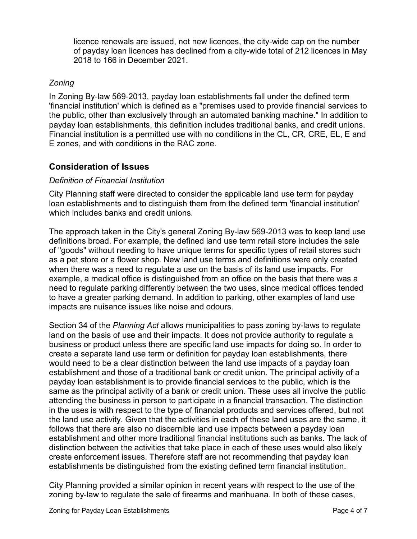licence renewals are issued, not new licences, the city-wide cap on the number of payday loan licences has declined from a city-wide total of 212 licences in May 2018 to 166 in December 2021.

#### *Zoning*

In Zoning By-law 569-2013, payday loan establishments fall under the defined term 'financial institution' which is defined as a "premises used to provide financial services to the public, other than exclusively through an automated banking machine." In addition to payday loan establishments, this definition includes traditional banks, and credit unions. Financial institution is a permitted use with no conditions in the CL, CR, CRE, EL, E and E zones, and with conditions in the RAC zone.

# **Consideration of Issues**

#### *Definition of Financial Institution*

City Planning staff were directed to consider the applicable land use term for payday loan establishments and to distinguish them from the defined term 'financial institution' which includes banks and credit unions.

The approach taken in the City's general Zoning By-law 569-2013 was to keep land use definitions broad. For example, the defined land use term retail store includes the sale of "goods" without needing to have unique terms for specific types of retail stores such as a pet store or a flower shop. New land use terms and definitions were only created when there was a need to regulate a use on the basis of its land use impacts. For example, a medical office is distinguished from an office on the basis that there was a need to regulate parking differently between the two uses, since medical offices tended to have a greater parking demand. In addition to parking, other examples of land use impacts are nuisance issues like noise and odours.

Section 34 of the *Planning Act* allows municipalities to pass zoning by-laws to regulate land on the basis of use and their impacts. It does not provide authority to regulate a business or product unless there are specific land use impacts for doing so. In order to create a separate land use term or definition for payday loan establishments, there would need to be a clear distinction between the land use impacts of a payday loan establishment and those of a traditional bank or credit union. The principal activity of a payday loan establishment is to provide financial services to the public, which is the same as the principal activity of a bank or credit union. These uses all involve the public attending the business in person to participate in a financial transaction. The distinction in the uses is with respect to the type of financial products and services offered, but not the land use activity. Given that the activities in each of these land uses are the same, it follows that there are also no discernible land use impacts between a payday loan establishment and other more traditional financial institutions such as banks. The lack of distinction between the activities that take place in each of these uses would also likely create enforcement issues. Therefore staff are not recommending that payday loan establishments be distinguished from the existing defined term financial institution.

City Planning provided a similar opinion in recent years with respect to the use of the zoning by-law to regulate the sale of firearms and marihuana. In both of these cases,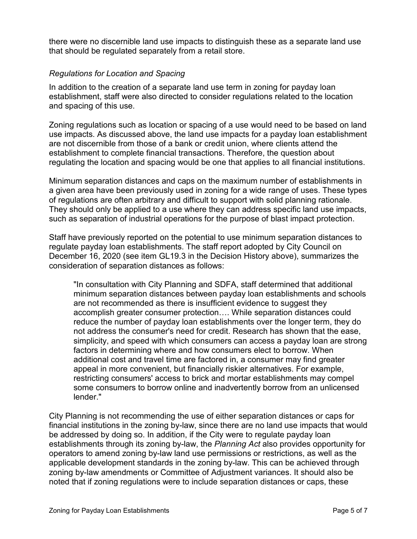there were no discernible land use impacts to distinguish these as a separate land use that should be regulated separately from a retail store.

#### *Regulations for Location and Spacing*

In addition to the creation of a separate land use term in zoning for payday loan establishment, staff were also directed to consider regulations related to the location and spacing of this use.

Zoning regulations such as location or spacing of a use would need to be based on land use impacts. As discussed above, the land use impacts for a payday loan establishment are not discernible from those of a bank or credit union, where clients attend the establishment to complete financial transactions. Therefore, the question about regulating the location and spacing would be one that applies to all financial institutions.

Minimum separation distances and caps on the maximum number of establishments in a given area have been previously used in zoning for a wide range of uses. These types of regulations are often arbitrary and difficult to support with solid planning rationale. They should only be applied to a use where they can address specific land use impacts, such as separation of industrial operations for the purpose of blast impact protection.

Staff have previously reported on the potential to use minimum separation distances to regulate payday loan establishments. The staff report adopted by City Council on December 16, 2020 (see item GL19.3 in the Decision History above), summarizes the consideration of separation distances as follows:

"In consultation with City Planning and SDFA, staff determined that additional minimum separation distances between payday loan establishments and schools are not recommended as there is insufficient evidence to suggest they accomplish greater consumer protection…. While separation distances could reduce the number of payday loan establishments over the longer term, they do not address the consumer's need for credit. Research has shown that the ease, simplicity, and speed with which consumers can access a payday loan are strong factors in determining where and how consumers elect to borrow. When additional cost and travel time are factored in, a consumer may find greater appeal in more convenient, but financially riskier alternatives. For example, restricting consumers' access to brick and mortar establishments may compel some consumers to borrow online and inadvertently borrow from an unlicensed lender."

City Planning is not recommending the use of either separation distances or caps for financial institutions in the zoning by-law, since there are no land use impacts that would be addressed by doing so. In addition, if the City were to regulate payday loan establishments through its zoning by-law, the *Planning Act* also provides opportunity for operators to amend zoning by-law land use permissions or restrictions, as well as the applicable development standards in the zoning by-law. This can be achieved through zoning by-law amendments or Committee of Adjustment variances. It should also be noted that if zoning regulations were to include separation distances or caps, these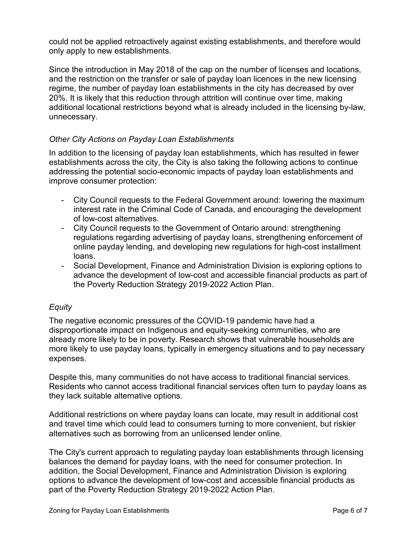could not be applied retroactively against existing establishments, and therefore would only apply to new establishments.

Since the introduction in May 2018 of the cap on the number of licenses and locations, and the restriction on the transfer or sale of payday loan licences in the new licensing regime, the number of payday loan establishments in the city has decreased by over 20%. It is likely that this reduction through attrition will continue over time, making additional locational restrictions beyond what is already included in the licensing by-law, unnecessary.

#### *Other City Actions on Payday Loan Establishments*

In addition to the licensing of payday loan establishments, which has resulted in fewer establishments across the city, the City is also taking the following actions to continue addressing the potential socio-economic impacts of payday loan establishments and improve consumer protection:

- City Council requests to the Federal Government around: lowering the maximum interest rate in the Criminal Code of Canada, and encouraging the development of low-cost alternatives.
- City Council requests to the Government of Ontario around: strengthening regulations regarding advertising of payday loans, strengthening enforcement of online payday lending, and developing new regulations for high-cost installment loans.
- Social Development, Finance and Administration Division is exploring options to advance the development of low-cost and accessible financial products as part of the Poverty Reduction Strategy 2019-2022 Action Plan.

# *Equity*

The negative economic pressures of the COVID-19 pandemic have had a disproportionate impact on Indigenous and equity-seeking communities, who are already more likely to be in poverty. Research shows that vulnerable households are more likely to use payday loans, typically in emergency situations and to pay necessary expenses.

Despite this, many communities do not have access to traditional financial services. Residents who cannot access traditional financial services often turn to payday loans as they lack suitable alternative options.

Additional restrictions on where payday loans can locate, may result in additional cost and travel time which could lead to consumers turning to more convenient, but riskier alternatives such as borrowing from an unlicensed lender online.

The City's current approach to regulating payday loan establishments through licensing balances the demand for payday loans, with the need for consumer protection. In addition, the Social Development, Finance and Administration Division is exploring options to advance the development of low-cost and accessible financial products as part of the Poverty Reduction Strategy 2019-2022 Action Plan.